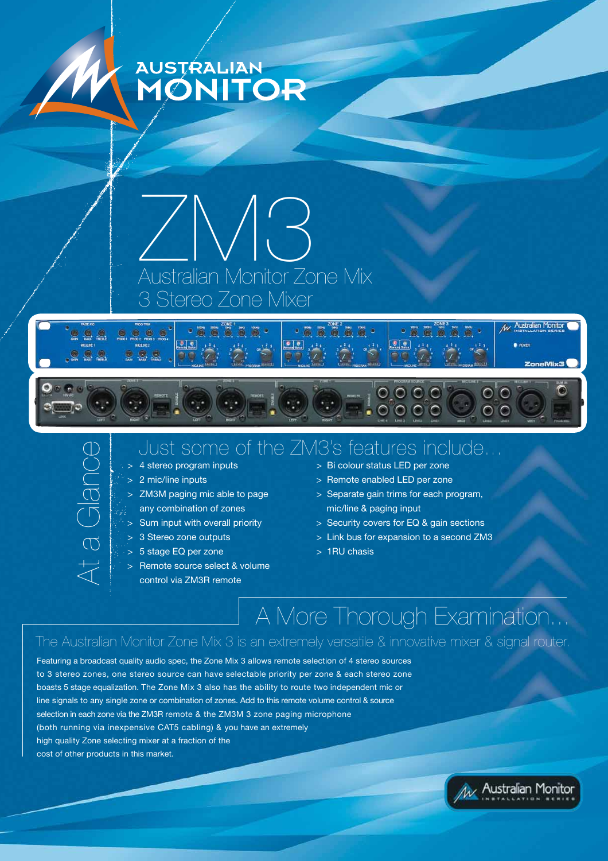





 $\mathcal{L}_{\mathcal{L}}$  .

## Just some of the ZM3's features include...

- 
- 
- 
- 
- 
- 
- > 5 stage EQ per zone > 1RU chasis
- > Remote source select & volume control via ZM3R remote
- > 4 stereo program inputs > Bi colour status LED per zone
- > 2 mic/line inputs > Remote enabled LED per zone
- > ZM3M paging mic able to page > Separate gain trims for each program, any combination of zones mic/line & paging input

 $0000$ 

 $\circ$   $\circ$ 

- > Sum input with overall priority > Security covers for EQ & gain sections
- > 3 Stereo zone outputs > Link bus for expansion to a second ZM3
	-

## A More Thorough Examination...

The Australian Monitor Zone Mix 3 is an extremely versatile & innovative mixer & signal router.

Featuring a broadcast quality audio spec, the Zone Mix 3 allows remote selection of 4 stereo sources to 3 stereo zones, one stereo source can have selectable priority per zone & each stereo zone boasts 5 stage equalization. The Zone Mix 3 also has the ability to route two independent mic or line signals to any single zone or combination of zones. Add to this remote volume control & source selection in each zone via the ZM3R remote & the ZM3M 3 zone paging microphone (both running via inexpensive CAT5 cabling) & you have an extremely high quality Zone selecting mixer at a fraction of the COST A stereo<br>
COST A stereo<br>
COST A stereo<br>
COST A stereo<br>
COST A stereo<br>
COST A stereo<br>
COST A stereo<br>
COST A Stereo<br>
S Stage I<br>
S Stereo<br>
COST A Stereo<br>
COST A Stereo<br>
COST A Stereo<br>
COST A Stereo<br>
COST A Stereo<br>
COST A